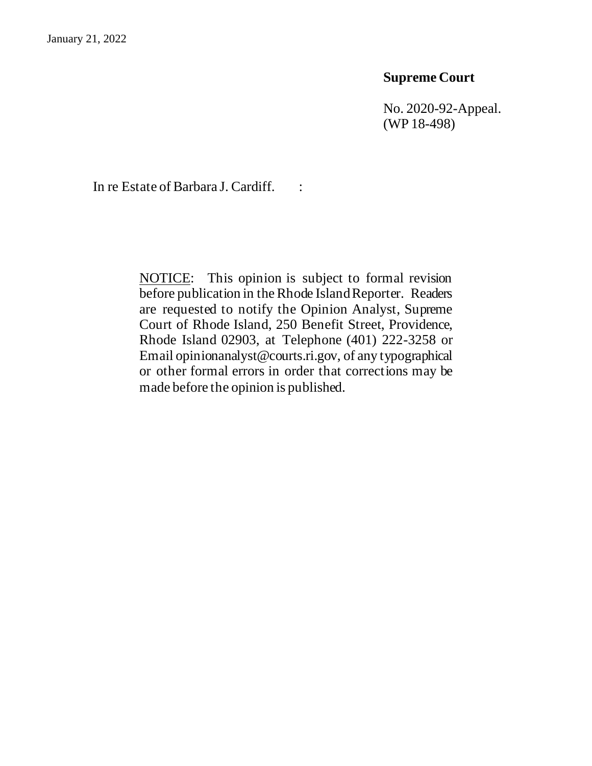## **Supreme Court**

No. 2020-92-Appeal. (WP 18-498)

In re Estate of Barbara J. Cardiff. :

NOTICE: This opinion is subject to formal revision before publication in the Rhode Island Reporter. Readers are requested to notify the Opinion Analyst, Supreme Court of Rhode Island, 250 Benefit Street, Providence, Rhode Island 02903, at Telephone (401) 222-3258 or Email opinionanalyst@courts.ri.gov, of any typographical or other formal errors in order that corrections may be made before the opinion is published.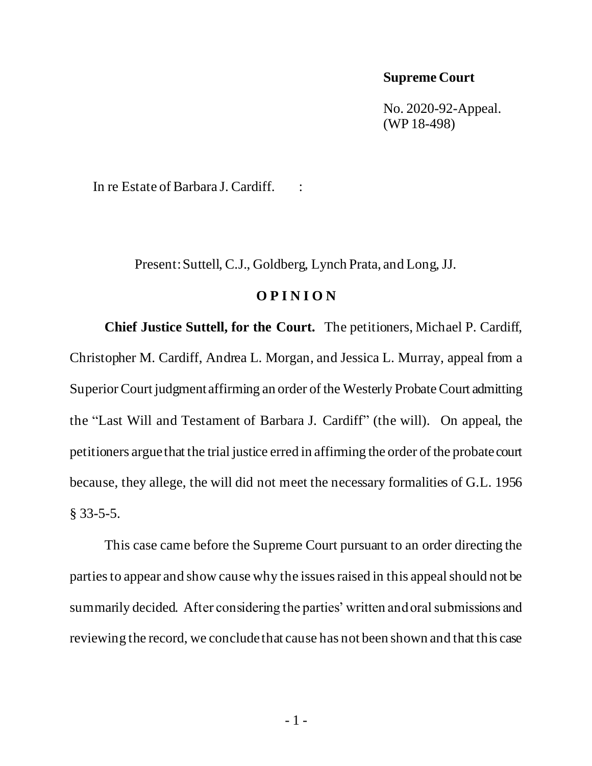## **Supreme Court**

No. 2020-92-Appeal. (WP 18-498)

In re Estate of Barbara J. Cardiff. :

Present: Suttell, C.J., Goldberg, Lynch Prata, and Long, JJ.

### **O P I N I O N**

**Chief Justice Suttell, for the Court.** The petitioners, Michael P. Cardiff, Christopher M. Cardiff, Andrea L. Morgan, and Jessica L. Murray, appeal from a Superior Court judgment affirming an order of the Westerly Probate Court admitting the "Last Will and Testament of Barbara J. Cardiff" (the will). On appeal, the petitioners argue that the trial justice erred in affirming the order of the probate court because, they allege, the will did not meet the necessary formalities of G.L. 1956 § 33-5-5.

This case came before the Supreme Court pursuant to an order directing the parties to appear and show cause why the issues raised in this appeal should not be summarily decided. After considering the parties' written and oral submissions and reviewing the record, we conclude that cause has not been shown and that this case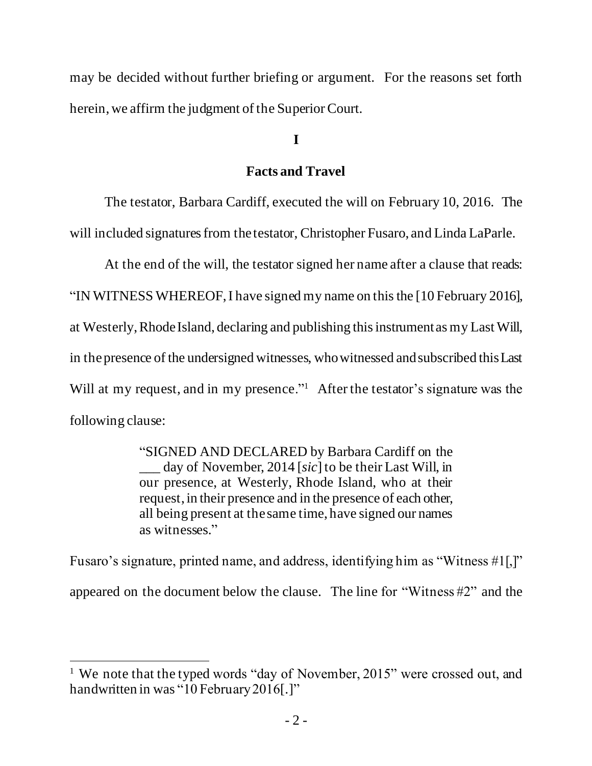may be decided without further briefing or argument. For the reasons set forth herein, we affirm the judgment of the Superior Court.

# **I**

## **Facts and Travel**

The testator, Barbara Cardiff, executed the will on February 10, 2016. The will included signatures from the testator, Christopher Fusaro, and Linda LaParle.

At the end of the will, the testator signed her name after a clause that reads:

"IN WITNESS WHEREOF, I have signed my name on this the [10 February 2016], at Westerly, Rhode Island, declaring and publishing this instrument as my Last Will, in the presence of the undersigned witnesses, who witnessed and subscribed this Last Will at my request, and in my presence."<sup>1</sup> After the testator's signature was the following clause:

> "SIGNED AND DECLARED by Barbara Cardiff on the \_\_\_ day of November, 2014 [*sic*] to be their Last Will, in our presence, at Westerly, Rhode Island, who at their request, in their presence and in the presence of each other, all being present at the same time, have signed our names as witnesses."

Fusaro's signature, printed name, and address, identifying him as "Witness #1[,]" appeared on the document below the clause. The line for "Witness #2" and the

<sup>&</sup>lt;sup>1</sup> We note that the typed words "day of November, 2015" were crossed out, and handwritten in was "10 February 2016[.]"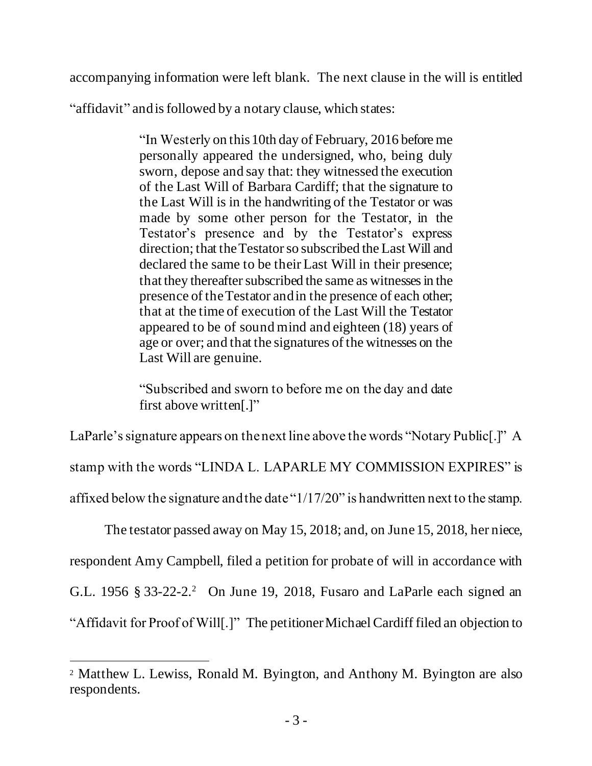accompanying information were left blank. The next clause in the will is entitled

"affidavit" and is followed by a notary clause, which states:

"In Westerly on this10th day of February, 2016 before me personally appeared the undersigned, who, being duly sworn, depose and say that: they witnessed the execution of the Last Will of Barbara Cardiff; that the signature to the Last Will is in the handwriting of the Testator or was made by some other person for the Testator, in the Testator's presence and by the Testator's express direction; that the Testator so subscribed the Last Will and declared the same to be their Last Will in their presence; that they thereafter subscribed the same as witnesses in the presence of the Testator and in the presence of each other; that at the time of execution of the Last Will the Testator appeared to be of sound mind and eighteen (18) years of age or over; and that the signatures of the witnesses on the Last Will are genuine.

"Subscribed and sworn to before me on the day and date first above written[.]"

LaParle's signature appears on the next line above the words "Notary Public<sup>[.]"</sup> A

stamp with the words "LINDA L. LAPARLE MY COMMISSION EXPIRES" is

affixed below the signature and the date "1/17/20" is handwritten next to the stamp.

The testator passed away on May 15, 2018; and, on June 15, 2018, her niece,

respondent Amy Campbell, filed a petition for probate of will in accordance with

G.L. 1956 § 33-22-2.<sup>2</sup> On June 19, 2018, Fusaro and LaParle each signed an

"Affidavit for Proof of Will[.]" The petitionerMichael Cardiff filed an objection to

<sup>2</sup> Matthew L. Lewiss, Ronald M. Byington, and Anthony M. Byington are also respondents.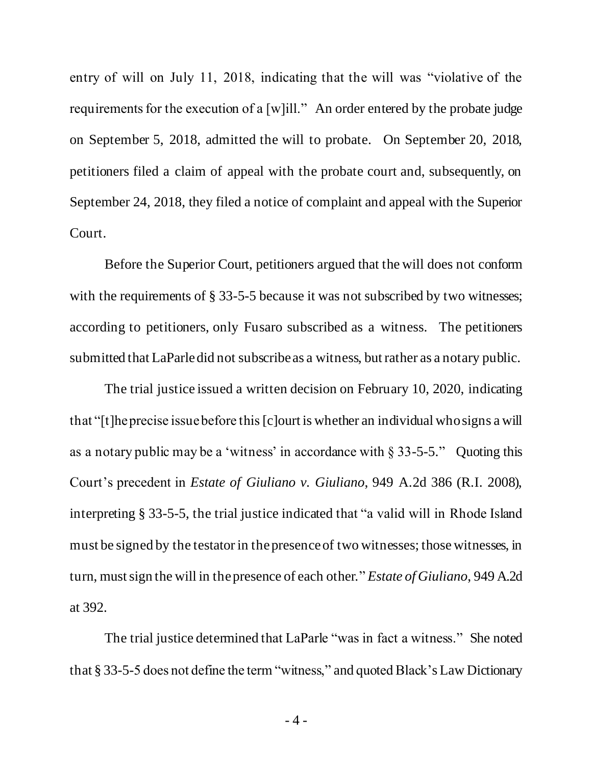entry of will on July 11, 2018, indicating that the will was "violative of the requirements for the execution of a [w]ill." An order entered by the probate judge on September 5, 2018, admitted the will to probate. On September 20, 2018, petitioners filed a claim of appeal with the probate court and, subsequently, on September 24, 2018, they filed a notice of complaint and appeal with the Superior Court.

Before the Superior Court, petitioners argued that the will does not conform with the requirements of § 33-5-5 because it was not subscribed by two witnesses; according to petitioners, only Fusaro subscribed as a witness. The petitioners submitted that LaParledid not subscribe as a witness, but rather as a notary public.

The trial justice issued a written decision on February 10, 2020, indicating that "[t]he precise issue before this [c]ourt is whether an individual who signs a will as a notary public may be a 'witness' in accordance with  $\S 33-5-5$ ." Ouoting this Court's precedent in *Estate of Giuliano v. Giuliano*, 949 A.2d 386 (R.I. 2008), interpreting § 33-5-5, the trial justice indicated that "a valid will in Rhode Island must be signed by the testator in the presence of two witnesses; those witnesses, in turn, must sign the will in the presence of each other." *Estate of Giuliano*, 949 A.2d at 392.

The trial justice determined that LaParle "was in fact a witness." She noted that § 33-5-5 does not define the term "witness," and quoted Black's Law Dictionary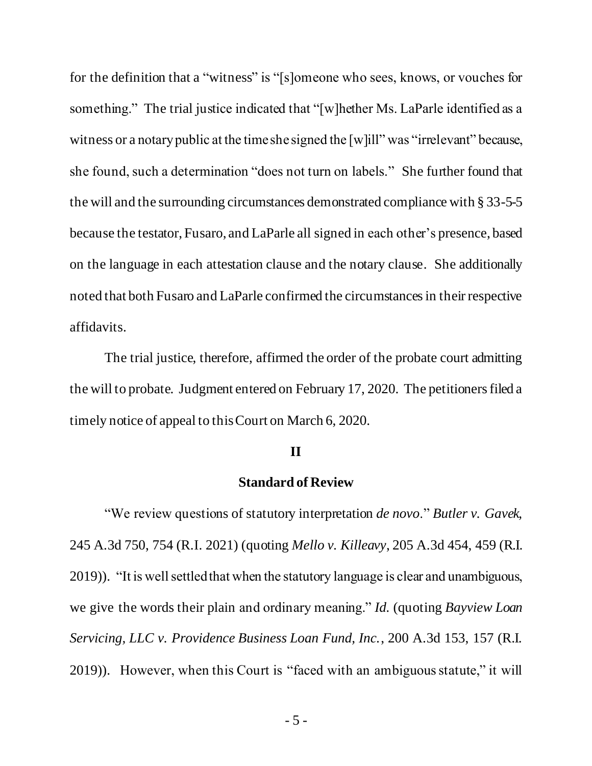for the definition that a "witness" is "[s]omeone who sees, knows, or vouches for something." The trial justice indicated that "[w]hether Ms. LaParle identified as a witness or a notary public at the time she signed the [w]ill" was "irrelevant" because, she found, such a determination "does not turn on labels." She further found that the will and the surrounding circumstances demonstrated compliance with § 33-5-5 because the testator, Fusaro, and LaParle all signed in each other's presence, based on the language in each attestation clause and the notary clause. She additionally noted that both Fusaro and LaParle confirmed the circumstances in their respective affidavits.

The trial justice, therefore, affirmed the order of the probate court admitting the will to probate. Judgment entered on February 17, 2020. The petitioners filed a timely notice of appeal to this Court on March 6, 2020.

#### **II**

#### **Standard of Review**

"We review questions of statutory interpretation *de novo*." *Butler v. Gavek*, 245 A.3d 750, 754 (R.I. 2021) (quoting *Mello v. Killeavy*, 205 A.3d 454, 459 (R.I. 2019)). "It is well settled that when the statutory language is clear and unambiguous, we give the words their plain and ordinary meaning." *Id.* (quoting *Bayview Loan Servicing, LLC v. Providence Business Loan Fund, Inc.*, 200 A.3d 153, 157 (R.I. 2019)). However, when this Court is "faced with an ambiguous statute," it will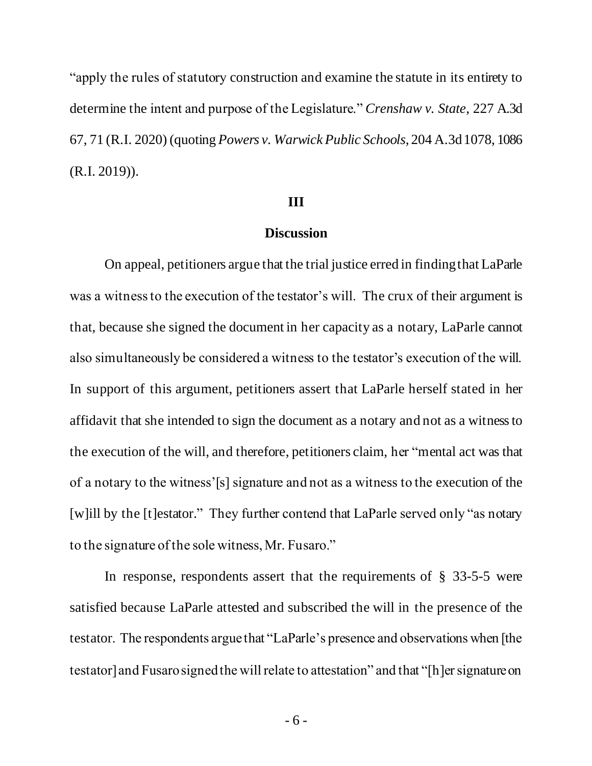"apply the rules of statutory construction and examine the statute in its entirety to determine the intent and purpose of the Legislature." *Crenshaw v. State*, 227 A.3d 67, 71 (R.I. 2020) (quoting *Powers v. Warwick Public Schools*, 204 A.3d 1078, 1086 (R.I. 2019)).

#### **III**

### **Discussion**

On appeal, petitioners argue that the trial justice erred in finding that LaParle was a witness to the execution of the testator's will. The crux of their argument is that, because she signed the document in her capacity as a notary, LaParle cannot also simultaneously be considered a witness to the testator's execution of the will. In support of this argument, petitioners assert that LaParle herself stated in her affidavit that she intended to sign the document as a notary and not as a witness to the execution of the will, and therefore, petitioners claim, her "mental act was that of a notary to the witness'[s] signature and not as a witness to the execution of the [w]ill by the [t]estator." They further contend that LaParle served only "as notary to the signature of the sole witness, Mr. Fusaro."

In response, respondents assert that the requirements of  $\S$  33-5-5 were satisfied because LaParle attested and subscribed the will in the presence of the testator. The respondents argue that "LaParle's presence and observations when [the testator] and Fusaro signed the will relate to attestation" and that "[h]er signature on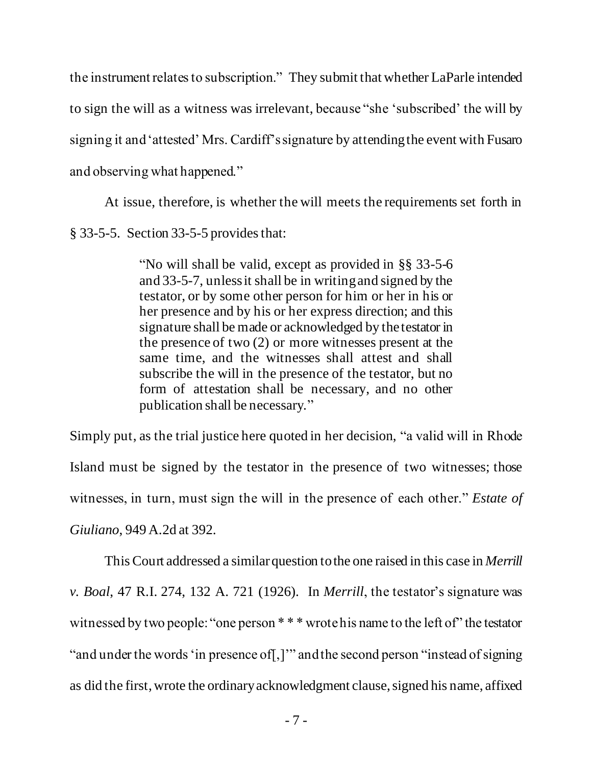the instrument relates to subscription." They submit that whether LaParle intended to sign the will as a witness was irrelevant, because "she 'subscribed' the will by signing it and 'attested' Mrs. Cardiff's signature by attending the event with Fusaro and observing what happened."

At issue, therefore, is whether the will meets the requirements set forth in § 33-5-5. Section 33-5-5 provides that:

> "No will shall be valid, except as provided in §§ 33-5-6 and 33-5-7, unless it shall be in writing and signed by the testator, or by some other person for him or her in his or her presence and by his or her express direction; and this signature shall be made or acknowledged by the testator in the presence of two (2) or more witnesses present at the same time, and the witnesses shall attest and shall subscribe the will in the presence of the testator, but no form of attestation shall be necessary, and no other publication shall be necessary."

Simply put, as the trial justice here quoted in her decision, "a valid will in Rhode Island must be signed by the testator in the presence of two witnesses; those witnesses, in turn, must sign the will in the presence of each other." *Estate of Giuliano*, 949 A.2d at 392.

This Court addressed a similar question to the one raised in this case in *Merrill v. Boal*, 47 R.I. 274, 132 A. 721 (1926). In *Merrill*, the testator's signature was witnessed by two people: "one person \* \* \* wrote his name to the left of" the testator "and under the words 'in presence of[,]'" and the second person "instead of signing as did the first, wrote the ordinary acknowledgment clause, signed his name, affixed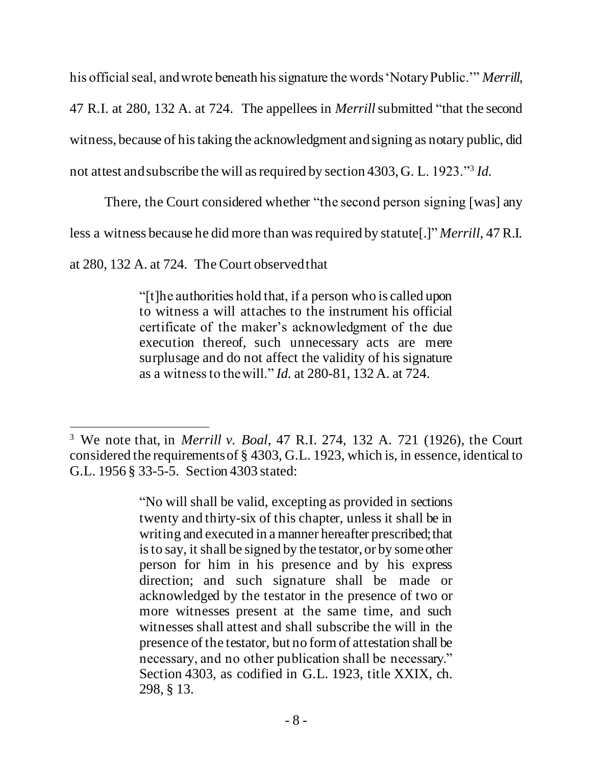his official seal, and wrote beneath his signature the words 'Notary Public.'" *Merrill*,

47 R.I. at 280, 132 A. at 724. The appellees in *Merrill*submitted "that the second

witness, because of his taking the acknowledgment and signing as notary public, did

not attest and subscribe the will as required by section 4303, G. L. 1923."<sup>3</sup> *Id.* 

There, the Court considered whether "the second person signing [was] any

less a witness because he did more than was required by statute[.]" *Merrill*, 47 R.I.

at 280, 132 A. at 724*.* The Court observedthat

"[t]he authorities hold that, if a person who is called upon to witness a will attaches to the instrument his official certificate of the maker's acknowledgment of the due execution thereof, such unnecessary acts are mere surplusage and do not affect the validity of his signature as a witness to the will." *Id.* at 280-81, 132 A. at 724.

<sup>3</sup> We note that, in *Merrill v. Boal*, 47 R.I. 274, 132 A. 721 (1926), the Court considered the requirements of § 4303, G.L. 1923, which is, in essence, identical to G.L. 1956 § 33-5-5. Section 4303 stated:

<sup>&</sup>quot;No will shall be valid, excepting as provided in sections twenty and thirty-six of this chapter, unless it shall be in writing and executed in a manner hereafter prescribed; that is to say, it shall be signed by the testator, or by some other person for him in his presence and by his express direction; and such signature shall be made or acknowledged by the testator in the presence of two or more witnesses present at the same time, and such witnesses shall attest and shall subscribe the will in the presence of the testator, but no form of attestation shall be necessary, and no other publication shall be necessary." Section 4303, as codified in G.L. 1923, title XXIX, ch. 298, § 13.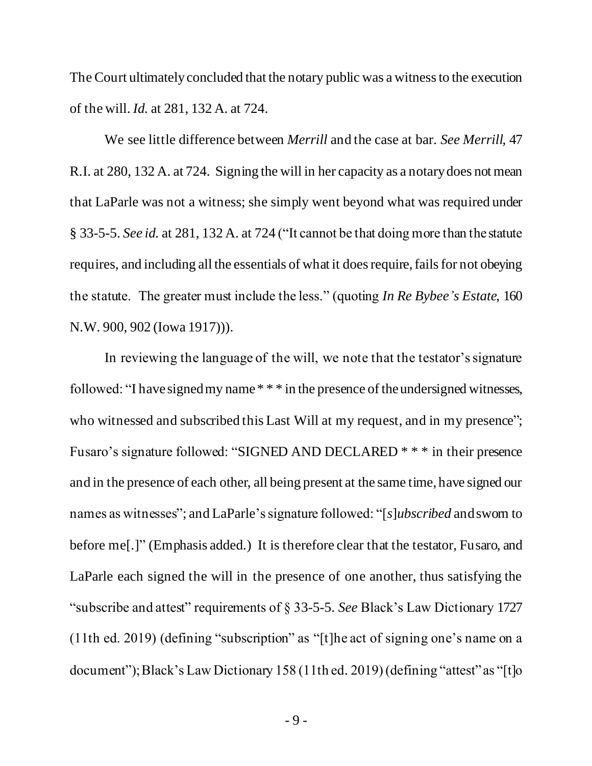The Court ultimately concluded that the notary public was a witness to the execution of the will. *Id.* at 281, 132 A. at 724.

We see little difference between *Merrill* and the case at bar. *See Merrill*, 47 R.I. at 280, 132 A. at 724. Signing the will in her capacity as a notary does not mean that LaParle was not a witness; she simply went beyond what was required under § 33-5-5. *See id.* at 281, 132 A. at 724 ("It cannot be that doing more than the statute requires, and including all the essentials of what it does require, fails for not obeying the statute. The greater must include the less." (quoting *In Re Bybee's Estate*, 160 N.W. 900, 902 (Iowa 1917))).

In reviewing the language of the will, we note that the testator's signature followed: "I have signed my name \* \* \* in the presence of the undersigned witnesses, who witnessed and subscribed this Last Will at my request, and in my presence"; Fusaro's signature followed: "SIGNED AND DECLARED \* \* \* in their presence and in the presence of each other, all being present at the same time, have signed our names as witnesses"; and LaParle's signature followed: "[*s*]*ubscribed* and sworn to before me[.]" (Emphasis added.) It is therefore clear that the testator, Fusaro, and LaParle each signed the will in the presence of one another, thus satisfying the "subscribe and attest" requirements of § 33-5-5. *See* Black's Law Dictionary 1727 (11th ed. 2019) (defining "subscription" as "[t]he act of signing one's name on a document"); Black's Law Dictionary 158 (11th ed. 2019) (defining "attest" as "[t]o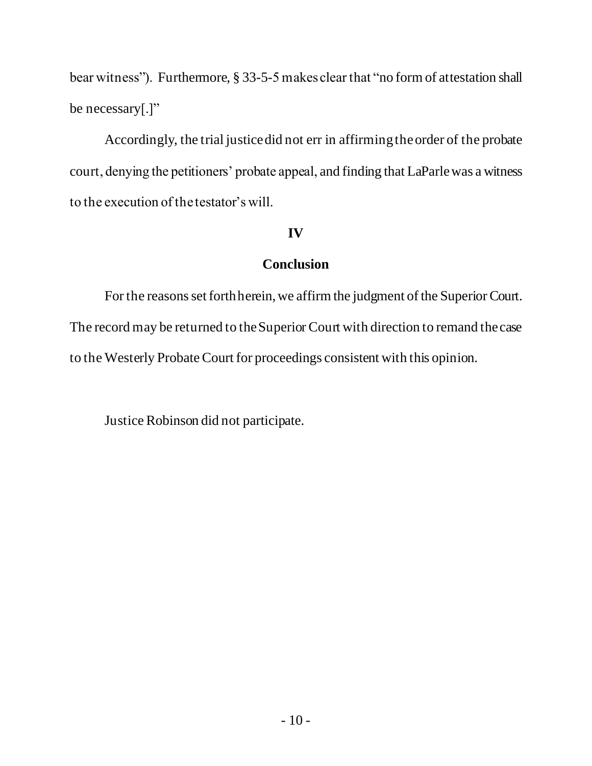bear witness"). Furthermore, § 33-5-5 makes clear that "no form of attestation shall be necessary[.]"

Accordingly, the trial justice did not err in affirmingthe order of the probate court, denying the petitioners' probate appeal, and finding that LaParlewas a witness to the execution of the testator's will.

# **IV**

# **Conclusion**

For the reasons set forth herein, we affirm the judgment of the Superior Court. The record may be returned to the Superior Court with direction to remand the case to the Westerly Probate Court for proceedings consistent with this opinion.

Justice Robinson did not participate.